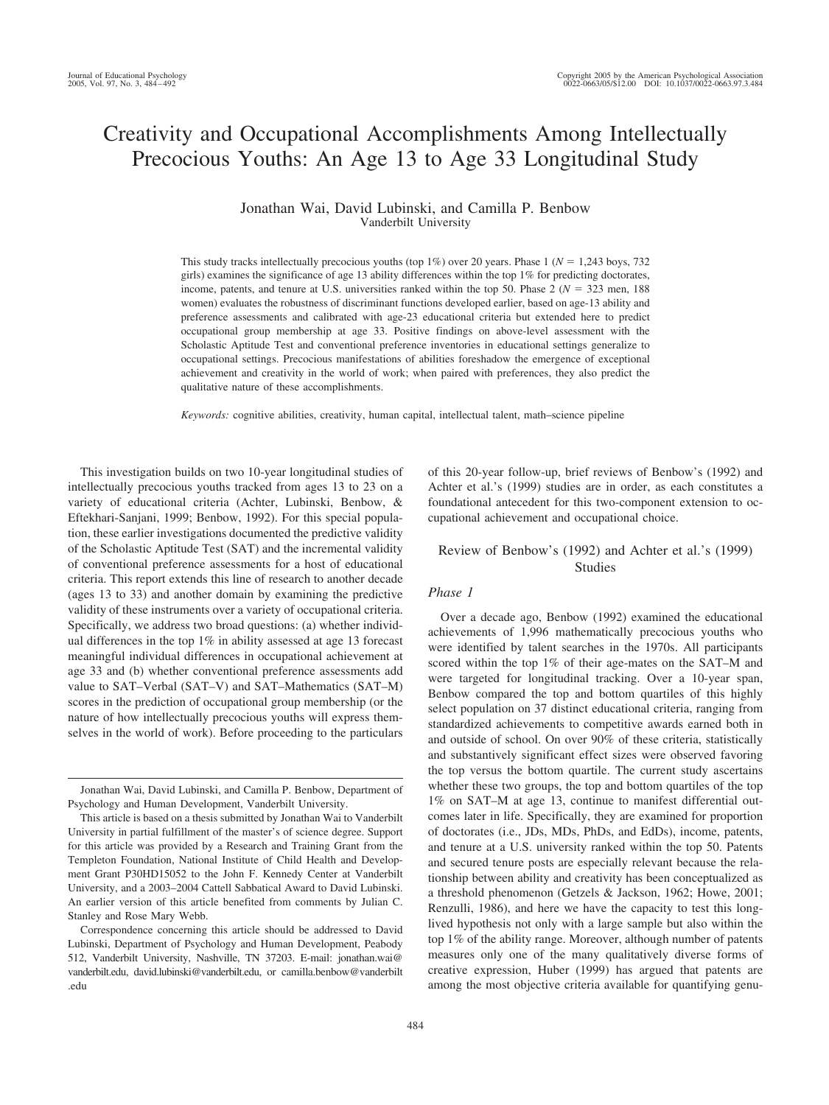# Creativity and Occupational Accomplishments Among Intellectually Precocious Youths: An Age 13 to Age 33 Longitudinal Study

## Jonathan Wai, David Lubinski, and Camilla P. Benbow Vanderbilt University

This study tracks intellectually precocious youths (top 1%) over 20 years. Phase 1 ( $N = 1,243$  boys, 732 girls) examines the significance of age 13 ability differences within the top 1% for predicting doctorates, income, patents, and tenure at U.S. universities ranked within the top 50. Phase  $2 (N = 323 \text{ men}, 188 \text{ m})$ women) evaluates the robustness of discriminant functions developed earlier, based on age-13 ability and preference assessments and calibrated with age-23 educational criteria but extended here to predict occupational group membership at age 33. Positive findings on above-level assessment with the Scholastic Aptitude Test and conventional preference inventories in educational settings generalize to occupational settings. Precocious manifestations of abilities foreshadow the emergence of exceptional achievement and creativity in the world of work; when paired with preferences, they also predict the qualitative nature of these accomplishments.

*Keywords:* cognitive abilities, creativity, human capital, intellectual talent, math–science pipeline

This investigation builds on two 10-year longitudinal studies of intellectually precocious youths tracked from ages 13 to 23 on a variety of educational criteria (Achter, Lubinski, Benbow, & Eftekhari-Sanjani, 1999; Benbow, 1992). For this special population, these earlier investigations documented the predictive validity of the Scholastic Aptitude Test (SAT) and the incremental validity of conventional preference assessments for a host of educational criteria. This report extends this line of research to another decade (ages 13 to 33) and another domain by examining the predictive validity of these instruments over a variety of occupational criteria. Specifically, we address two broad questions: (a) whether individual differences in the top 1% in ability assessed at age 13 forecast meaningful individual differences in occupational achievement at age 33 and (b) whether conventional preference assessments add value to SAT–Verbal (SAT–V) and SAT–Mathematics (SAT–M) scores in the prediction of occupational group membership (or the nature of how intellectually precocious youths will express themselves in the world of work). Before proceeding to the particulars

of this 20-year follow-up, brief reviews of Benbow's (1992) and Achter et al.'s (1999) studies are in order, as each constitutes a foundational antecedent for this two-component extension to occupational achievement and occupational choice.

## Review of Benbow's (1992) and Achter et al.'s (1999) Studies

## *Phase 1*

Over a decade ago, Benbow (1992) examined the educational achievements of 1,996 mathematically precocious youths who were identified by talent searches in the 1970s. All participants scored within the top 1% of their age-mates on the SAT–M and were targeted for longitudinal tracking. Over a 10-year span, Benbow compared the top and bottom quartiles of this highly select population on 37 distinct educational criteria, ranging from standardized achievements to competitive awards earned both in and outside of school. On over 90% of these criteria, statistically and substantively significant effect sizes were observed favoring the top versus the bottom quartile. The current study ascertains whether these two groups, the top and bottom quartiles of the top 1% on SAT–M at age 13, continue to manifest differential outcomes later in life. Specifically, they are examined for proportion of doctorates (i.e., JDs, MDs, PhDs, and EdDs), income, patents, and tenure at a U.S. university ranked within the top 50. Patents and secured tenure posts are especially relevant because the relationship between ability and creativity has been conceptualized as a threshold phenomenon (Getzels & Jackson, 1962; Howe, 2001; Renzulli, 1986), and here we have the capacity to test this longlived hypothesis not only with a large sample but also within the top 1% of the ability range. Moreover, although number of patents measures only one of the many qualitatively diverse forms of creative expression, Huber (1999) has argued that patents are among the most objective criteria available for quantifying genu-

Jonathan Wai, David Lubinski, and Camilla P. Benbow, Department of Psychology and Human Development, Vanderbilt University.

This article is based on a thesis submitted by Jonathan Wai to Vanderbilt University in partial fulfillment of the master's of science degree. Support for this article was provided by a Research and Training Grant from the Templeton Foundation, National Institute of Child Health and Development Grant P30HD15052 to the John F. Kennedy Center at Vanderbilt University, and a 2003–2004 Cattell Sabbatical Award to David Lubinski. An earlier version of this article benefited from comments by Julian C. Stanley and Rose Mary Webb.

Correspondence concerning this article should be addressed to David Lubinski, Department of Psychology and Human Development, Peabody 512, Vanderbilt University, Nashville, TN 37203. E-mail: jonathan.wai@ vanderbilt.edu, david.lubinski@vanderbilt.edu, or camilla.benbow@vanderbilt .edu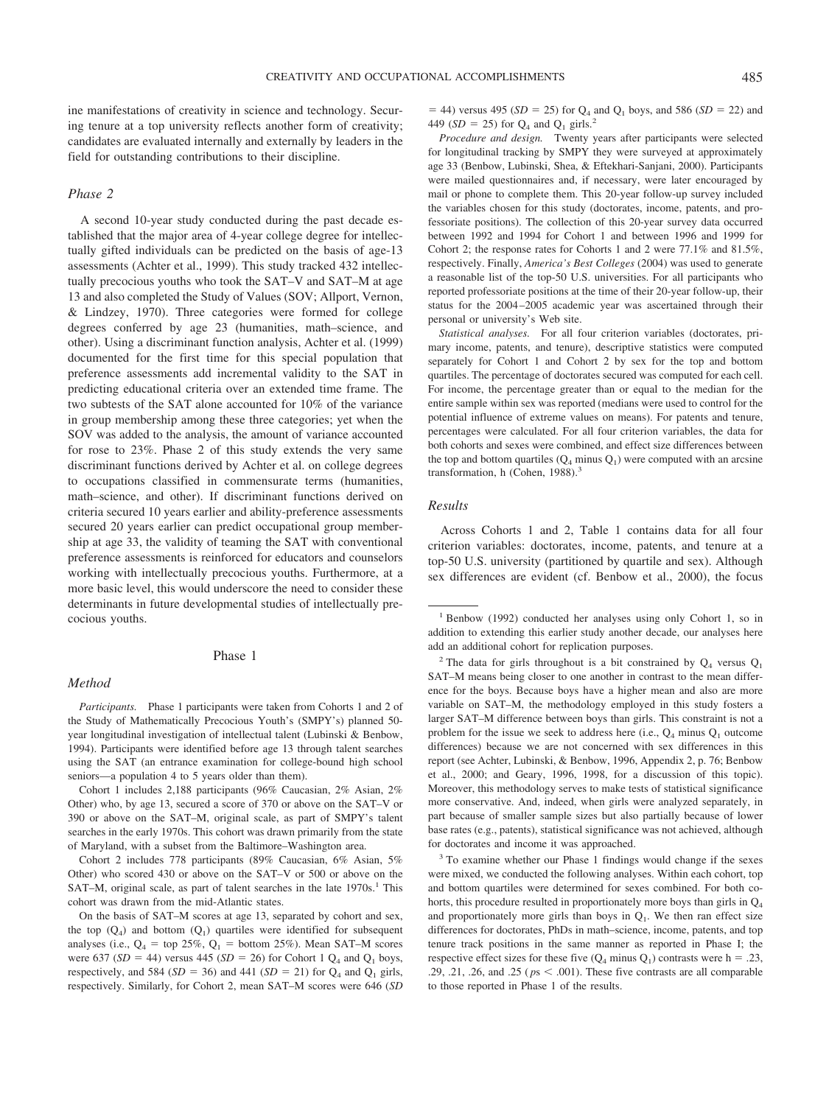ine manifestations of creativity in science and technology. Securing tenure at a top university reflects another form of creativity; candidates are evaluated internally and externally by leaders in the field for outstanding contributions to their discipline.

## *Phase 2*

A second 10-year study conducted during the past decade established that the major area of 4-year college degree for intellectually gifted individuals can be predicted on the basis of age-13 assessments (Achter et al., 1999). This study tracked 432 intellectually precocious youths who took the SAT–V and SAT–M at age 13 and also completed the Study of Values (SOV; Allport, Vernon, & Lindzey, 1970). Three categories were formed for college degrees conferred by age 23 (humanities, math–science, and other). Using a discriminant function analysis, Achter et al. (1999) documented for the first time for this special population that preference assessments add incremental validity to the SAT in predicting educational criteria over an extended time frame. The two subtests of the SAT alone accounted for 10% of the variance in group membership among these three categories; yet when the SOV was added to the analysis, the amount of variance accounted for rose to 23%. Phase 2 of this study extends the very same discriminant functions derived by Achter et al. on college degrees to occupations classified in commensurate terms (humanities, math–science, and other). If discriminant functions derived on criteria secured 10 years earlier and ability-preference assessments secured 20 years earlier can predict occupational group membership at age 33, the validity of teaming the SAT with conventional preference assessments is reinforced for educators and counselors working with intellectually precocious youths. Furthermore, at a more basic level, this would underscore the need to consider these determinants in future developmental studies of intellectually precocious youths.

#### Phase 1

#### *Method*

*Participants.* Phase 1 participants were taken from Cohorts 1 and 2 of the Study of Mathematically Precocious Youth's (SMPY's) planned 50 year longitudinal investigation of intellectual talent (Lubinski & Benbow, 1994). Participants were identified before age 13 through talent searches using the SAT (an entrance examination for college-bound high school seniors—a population 4 to 5 years older than them).

Cohort 1 includes 2,188 participants (96% Caucasian, 2% Asian, 2% Other) who, by age 13, secured a score of 370 or above on the SAT–V or 390 or above on the SAT–M, original scale, as part of SMPY's talent searches in the early 1970s. This cohort was drawn primarily from the state of Maryland, with a subset from the Baltimore–Washington area.

Cohort 2 includes 778 participants (89% Caucasian, 6% Asian, 5% Other) who scored 430 or above on the SAT–V or 500 or above on the SAT–M, original scale, as part of talent searches in the late  $1970s$ .<sup>1</sup> This cohort was drawn from the mid-Atlantic states.

On the basis of SAT–M scores at age 13, separated by cohort and sex, the top  $(Q_4)$  and bottom  $(Q_1)$  quartiles were identified for subsequent analyses (i.e.,  $Q_4$  = top 25%,  $Q_1$  = bottom 25%). Mean SAT–M scores were 637 ( $SD = 44$ ) versus 445 ( $SD = 26$ ) for Cohort 1  $Q_4$  and  $Q_1$  boys, respectively, and 584 ( $SD = 36$ ) and 441 ( $SD = 21$ ) for  $Q_4$  and  $Q_1$  girls, respectively. Similarly, for Cohort 2, mean SAT–M scores were 646 (*SD*  $=$  44) versus 495 (*SD* = 25) for Q<sub>4</sub> and Q<sub>1</sub> boys, and 586 (*SD* = 22) and 449 ( $SD = 25$ ) for  $Q_4$  and  $Q_1$  girls.<sup>2</sup>

*Procedure and design.* Twenty years after participants were selected for longitudinal tracking by SMPY they were surveyed at approximately age 33 (Benbow, Lubinski, Shea, & Eftekhari-Sanjani, 2000). Participants were mailed questionnaires and, if necessary, were later encouraged by mail or phone to complete them. This 20-year follow-up survey included the variables chosen for this study (doctorates, income, patents, and professoriate positions). The collection of this 20-year survey data occurred between 1992 and 1994 for Cohort 1 and between 1996 and 1999 for Cohort 2; the response rates for Cohorts 1 and 2 were 77.1% and 81.5%, respectively. Finally, *America's Best Colleges* (2004) was used to generate a reasonable list of the top-50 U.S. universities. For all participants who reported professoriate positions at the time of their 20-year follow-up, their status for the 2004 –2005 academic year was ascertained through their personal or university's Web site.

*Statistical analyses.* For all four criterion variables (doctorates, primary income, patents, and tenure), descriptive statistics were computed separately for Cohort 1 and Cohort 2 by sex for the top and bottom quartiles. The percentage of doctorates secured was computed for each cell. For income, the percentage greater than or equal to the median for the entire sample within sex was reported (medians were used to control for the potential influence of extreme values on means). For patents and tenure, percentages were calculated. For all four criterion variables, the data for both cohorts and sexes were combined, and effect size differences between the top and bottom quartiles  $(Q_4 \text{ minus } Q_1)$  were computed with an arcsine transformation, h (Cohen, 1988).<sup>3</sup>

### *Results*

Across Cohorts 1 and 2, Table 1 contains data for all four criterion variables: doctorates, income, patents, and tenure at a top-50 U.S. university (partitioned by quartile and sex). Although sex differences are evident (cf. Benbow et al., 2000), the focus

<sup>3</sup> To examine whether our Phase 1 findings would change if the sexes were mixed, we conducted the following analyses. Within each cohort, top and bottom quartiles were determined for sexes combined. For both cohorts, this procedure resulted in proportionately more boys than girls in  $Q_4$ and proportionately more girls than boys in  $Q<sub>1</sub>$ . We then ran effect size differences for doctorates, PhDs in math–science, income, patents, and top tenure track positions in the same manner as reported in Phase I; the respective effect sizes for these five  $(Q_4 \text{ minus } Q_1)$  contrasts were h = .23, .29, .21, .26, and .25 ( $ps < .001$ ). These five contrasts are all comparable to those reported in Phase 1 of the results.

<sup>1</sup> Benbow (1992) conducted her analyses using only Cohort 1, so in addition to extending this earlier study another decade, our analyses here add an additional cohort for replication purposes.

<sup>&</sup>lt;sup>2</sup> The data for girls throughout is a bit constrained by  $Q_4$  versus  $Q_1$ SAT–M means being closer to one another in contrast to the mean difference for the boys. Because boys have a higher mean and also are more variable on SAT–M, the methodology employed in this study fosters a larger SAT–M difference between boys than girls. This constraint is not a problem for the issue we seek to address here (i.e.,  $Q_4$  minus  $Q_1$  outcome differences) because we are not concerned with sex differences in this report (see Achter, Lubinski, & Benbow, 1996, Appendix 2, p. 76; Benbow et al., 2000; and Geary, 1996, 1998, for a discussion of this topic). Moreover, this methodology serves to make tests of statistical significance more conservative. And, indeed, when girls were analyzed separately, in part because of smaller sample sizes but also partially because of lower base rates (e.g., patents), statistical significance was not achieved, although for doctorates and income it was approached.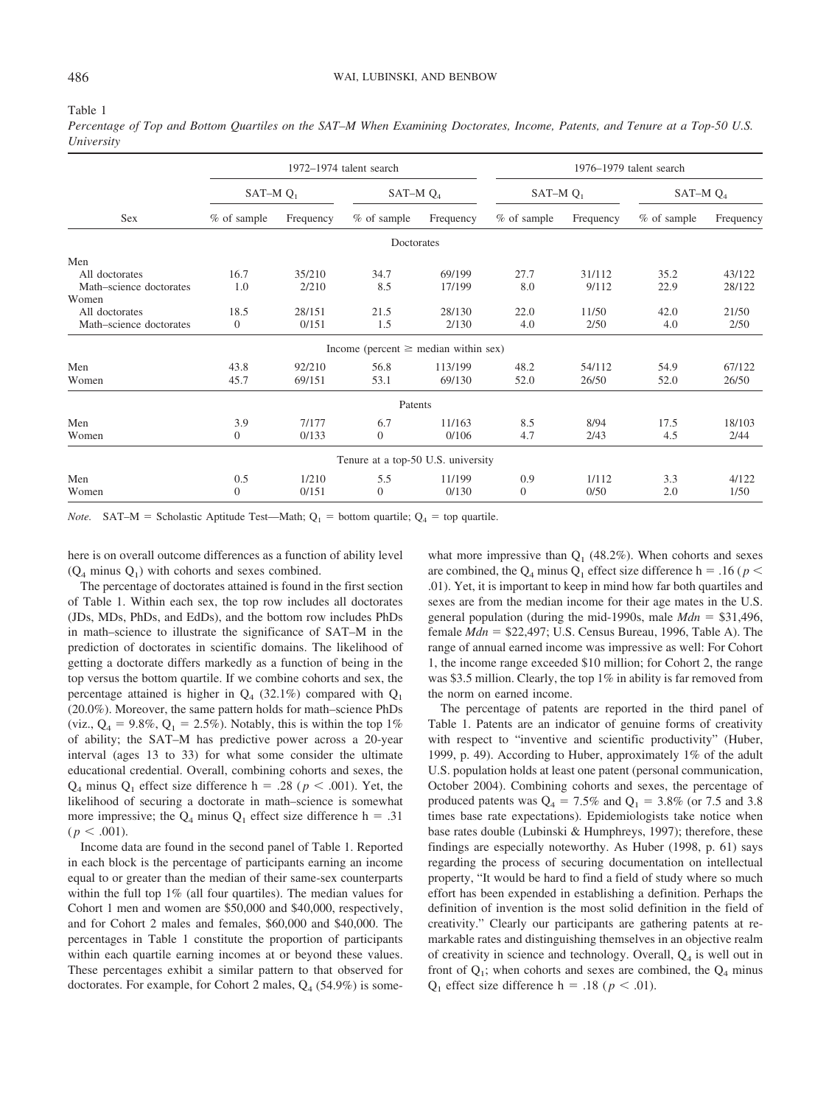#### Table 1

*Percentage of Top and Bottom Quartiles on the SAT–M When Examining Doctorates, Income, Patents, and Tenure at a Top-50 U.S. University*

|                         | $1972 - 1974$ talent search |           |                                           |           | 1976–1979 talent search |           |               |           |  |
|-------------------------|-----------------------------|-----------|-------------------------------------------|-----------|-------------------------|-----------|---------------|-----------|--|
|                         | SAT-M $Q_1$                 |           | SAT-M $Q_4$                               |           | $SAT-MQ_1$              |           | SAT-M $Q_4$   |           |  |
| <b>Sex</b>              | % of sample                 | Frequency | $%$ of sample                             | Frequency | $%$ of sample           | Frequency | $%$ of sample | Frequency |  |
|                         |                             |           | Doctorates                                |           |                         |           |               |           |  |
| Men                     |                             |           |                                           |           |                         |           |               |           |  |
| All doctorates          | 16.7                        | 35/210    | 34.7                                      | 69/199    | 27.7                    | 31/112    | 35.2          | 43/122    |  |
| Math-science doctorates | 1.0                         | 2/210     | 8.5                                       | 17/199    | 8.0                     | 9/112     | 22.9          | 28/122    |  |
| Women                   |                             |           |                                           |           |                         |           |               |           |  |
| All doctorates          | 18.5                        | 28/151    | 21.5                                      | 28/130    | 22.0                    | 11/50     | 42.0          | 21/50     |  |
| Math-science doctorates | $\theta$                    | 0/151     | 1.5                                       | 2/130     | 4.0                     | 2/50      | 4.0           | 2/50      |  |
|                         |                             |           | Income (percent $\geq$ median within sex) |           |                         |           |               |           |  |
| Men                     | 43.8                        | 92/210    | 56.8                                      | 113/199   | 48.2                    | 54/112    | 54.9          | 67/122    |  |
| Women                   | 45.7                        | 69/151    | 53.1                                      | 69/130    | 52.0                    | 26/50     | 52.0          | 26/50     |  |
|                         |                             |           | Patents                                   |           |                         |           |               |           |  |
| Men                     | 3.9                         | 7/177     | 6.7                                       | 11/163    | 8.5                     | 8/94      | 17.5          | 18/103    |  |
| Women                   | $\overline{0}$              | 0/133     | $\theta$                                  | 0/106     | 4.7                     | 2/43      | 4.5           | 2/44      |  |
|                         |                             |           | Tenure at a top-50 U.S. university        |           |                         |           |               |           |  |
| Men                     | 0.5                         | 1/210     | 5.5                                       | 11/199    | 0.9                     | 1/112     | 3.3           | 4/122     |  |
| Women                   | $\overline{0}$              | 0/151     | $\Omega$                                  | 0/130     | $\Omega$                | 0/50      | 2.0           | 1/50      |  |

*Note.* SAT–M = Scholastic Aptitude Test—Math;  $Q_1$  = bottom quartile;  $Q_4$  = top quartile.

here is on overall outcome differences as a function of ability level  $(Q_4$  minus  $Q_1$ ) with cohorts and sexes combined.

The percentage of doctorates attained is found in the first section of Table 1. Within each sex, the top row includes all doctorates (JDs, MDs, PhDs, and EdDs), and the bottom row includes PhDs in math–science to illustrate the significance of SAT–M in the prediction of doctorates in scientific domains. The likelihood of getting a doctorate differs markedly as a function of being in the top versus the bottom quartile. If we combine cohorts and sex, the percentage attained is higher in  $Q_4$  (32.1%) compared with  $Q_1$ (20.0%). Moreover, the same pattern holds for math–science PhDs (viz.,  $Q_4 = 9.8\%, Q_1 = 2.5\%$ ). Notably, this is within the top 1% of ability; the SAT–M has predictive power across a 20-year interval (ages 13 to 33) for what some consider the ultimate educational credential. Overall, combining cohorts and sexes, the  $Q_4$  minus  $Q_1$  effect size difference h = .28 ( $p < .001$ ). Yet, the likelihood of securing a doctorate in math–science is somewhat more impressive; the  $Q_4$  minus  $Q_1$  effect size difference h = .31  $(p < .001)$ .

Income data are found in the second panel of Table 1. Reported in each block is the percentage of participants earning an income equal to or greater than the median of their same-sex counterparts within the full top 1% (all four quartiles). The median values for Cohort 1 men and women are \$50,000 and \$40,000, respectively, and for Cohort 2 males and females, \$60,000 and \$40,000. The percentages in Table 1 constitute the proportion of participants within each quartile earning incomes at or beyond these values. These percentages exhibit a similar pattern to that observed for doctorates. For example, for Cohort 2 males,  $Q_4$  (54.9%) is somewhat more impressive than  $Q_1$  (48.2%). When cohorts and sexes are combined, the  $Q_4$  minus  $Q_1$  effect size difference h = .16 ( $p$  < .01). Yet, it is important to keep in mind how far both quartiles and sexes are from the median income for their age mates in the U.S. general population (during the mid-1990s, male  $Mdn = $31,496$ , female  $Mdn = $22,497$ ; U.S. Census Bureau, 1996, Table A). The range of annual earned income was impressive as well: For Cohort 1, the income range exceeded \$10 million; for Cohort 2, the range was \$3.5 million. Clearly, the top 1% in ability is far removed from the norm on earned income.

The percentage of patents are reported in the third panel of Table 1. Patents are an indicator of genuine forms of creativity with respect to "inventive and scientific productivity" (Huber, 1999, p. 49). According to Huber, approximately 1% of the adult U.S. population holds at least one patent (personal communication, October 2004). Combining cohorts and sexes, the percentage of produced patents was  $Q_4 = 7.5\%$  and  $Q_1 = 3.8\%$  (or 7.5 and 3.8 times base rate expectations). Epidemiologists take notice when base rates double (Lubinski & Humphreys, 1997); therefore, these findings are especially noteworthy. As Huber (1998, p. 61) says regarding the process of securing documentation on intellectual property, "It would be hard to find a field of study where so much effort has been expended in establishing a definition. Perhaps the definition of invention is the most solid definition in the field of creativity." Clearly our participants are gathering patents at remarkable rates and distinguishing themselves in an objective realm of creativity in science and technology. Overall,  $Q_4$  is well out in front of  $Q_1$ ; when cohorts and sexes are combined, the  $Q_4$  minus  $Q_1$  effect size difference h = .18 ( $p < .01$ ).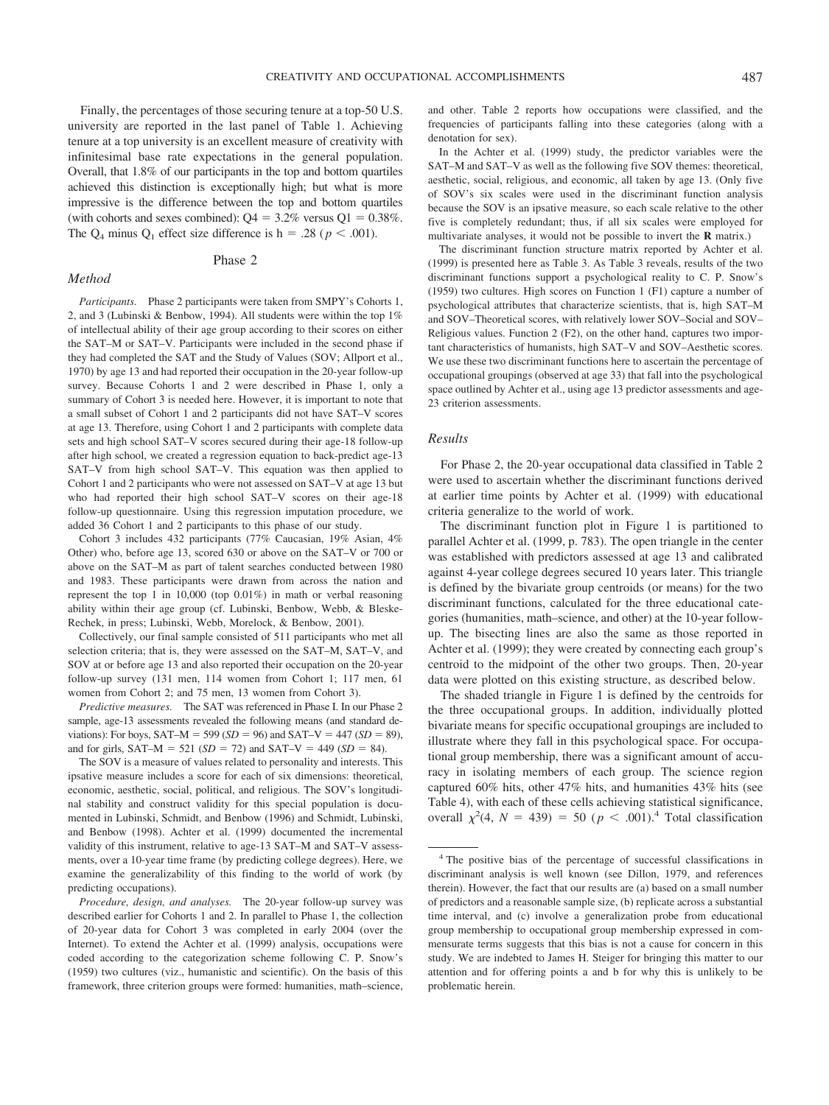Finally, the percentages of those securing tenure at a top-50 U.S. university are reported in the last panel of Table 1. Achieving tenure at a top university is an excellent measure of creativity with infinitesimal base rate expectations in the general population. Overall, that 1.8% of our participants in the top and bottom quartiles achieved this distinction is exceptionally high; but what is more impressive is the difference between the top and bottom quartiles (with cohorts and sexes combined):  $Q4 = 3.2\%$  versus  $Q1 = 0.38\%$ . The  $Q_4$  minus  $Q_1$  effect size difference is  $h = .28$  ( $p < .001$ ).

#### Phase 2

#### *Method*

*Participants.* Phase 2 participants were taken from SMPY's Cohorts 1, 2, and 3 (Lubinski & Benbow, 1994). All students were within the top 1% of intellectual ability of their age group according to their scores on either the SAT–M or SAT–V. Participants were included in the second phase if they had completed the SAT and the Study of Values (SOV; Allport et al., 1970) by age 13 and had reported their occupation in the 20-year follow-up survey. Because Cohorts 1 and 2 were described in Phase 1, only a summary of Cohort 3 is needed here. However, it is important to note that a small subset of Cohort 1 and 2 participants did not have SAT–V scores at age 13. Therefore, using Cohort 1 and 2 participants with complete data sets and high school SAT–V scores secured during their age-18 follow-up after high school, we created a regression equation to back-predict age-13 SAT–V from high school SAT–V. This equation was then applied to Cohort 1 and 2 participants who were not assessed on SAT–V at age 13 but who had reported their high school SAT–V scores on their age-18 follow-up questionnaire. Using this regression imputation procedure, we added 36 Cohort 1 and 2 participants to this phase of our study.

Cohort 3 includes 432 participants (77% Caucasian, 19% Asian, 4% Other) who, before age 13, scored 630 or above on the SAT–V or 700 or above on the SAT–M as part of talent searches conducted between 1980 and 1983. These participants were drawn from across the nation and represent the top 1 in 10,000 (top 0.01%) in math or verbal reasoning ability within their age group (cf. Lubinski, Benbow, Webb, & Bleske-Rechek, in press; Lubinski, Webb, Morelock, & Benbow, 2001).

Collectively, our final sample consisted of 511 participants who met all selection criteria; that is, they were assessed on the SAT–M, SAT–V, and SOV at or before age 13 and also reported their occupation on the 20-year follow-up survey (131 men, 114 women from Cohort 1; 117 men, 61 women from Cohort 2; and 75 men, 13 women from Cohort 3).

*Predictive measures.* The SAT was referenced in Phase I. In our Phase 2 sample, age-13 assessments revealed the following means (and standard deviations): For boys, SAT–M = 599 ( $SD = 96$ ) and SAT–V = 447 ( $SD = 89$ ), and for girls,  $SAT-M = 521$  ( $SD = 72$ ) and  $SAT-V = 449$  ( $SD = 84$ ).

The SOV is a measure of values related to personality and interests. This ipsative measure includes a score for each of six dimensions: theoretical, economic, aesthetic, social, political, and religious. The SOV's longitudinal stability and construct validity for this special population is documented in Lubinski, Schmidt, and Benbow (1996) and Schmidt, Lubinski, and Benbow (1998). Achter et al. (1999) documented the incremental validity of this instrument, relative to age-13 SAT–M and SAT–V assessments, over a 10-year time frame (by predicting college degrees). Here, we examine the generalizability of this finding to the world of work (by predicting occupations).

*Procedure, design, and analyses.* The 20-year follow-up survey was described earlier for Cohorts 1 and 2. In parallel to Phase 1, the collection of 20-year data for Cohort 3 was completed in early 2004 (over the Internet). To extend the Achter et al. (1999) analysis, occupations were coded according to the categorization scheme following C. P. Snow's (1959) two cultures (viz., humanistic and scientific). On the basis of this framework, three criterion groups were formed: humanities, math–science,

and other. Table 2 reports how occupations were classified, and the frequencies of participants falling into these categories (along with a denotation for sex).

In the Achter et al. (1999) study, the predictor variables were the SAT–M and SAT–V as well as the following five SOV themes: theoretical, aesthetic, social, religious, and economic, all taken by age 13. (Only five of SOV's six scales were used in the discriminant function analysis because the SOV is an ipsative measure, so each scale relative to the other five is completely redundant; thus, if all six scales were employed for multivariate analyses, it would not be possible to invert the **R** matrix.)

The discriminant function structure matrix reported by Achter et al. (1999) is presented here as Table 3. As Table 3 reveals, results of the two discriminant functions support a psychological reality to C. P. Snow's (1959) two cultures. High scores on Function 1 (F1) capture a number of psychological attributes that characterize scientists, that is, high SAT–M and SOV–Theoretical scores, with relatively lower SOV–Social and SOV– Religious values. Function 2 (F2), on the other hand, captures two important characteristics of humanists, high SAT–V and SOV–Aesthetic scores. We use these two discriminant functions here to ascertain the percentage of occupational groupings (observed at age 33) that fall into the psychological space outlined by Achter et al., using age 13 predictor assessments and age-23 criterion assessments.

## *Results*

For Phase 2, the 20-year occupational data classified in Table 2 were used to ascertain whether the discriminant functions derived at earlier time points by Achter et al. (1999) with educational criteria generalize to the world of work.

The discriminant function plot in Figure 1 is partitioned to parallel Achter et al. (1999, p. 783). The open triangle in the center was established with predictors assessed at age 13 and calibrated against 4-year college degrees secured 10 years later. This triangle is defined by the bivariate group centroids (or means) for the two discriminant functions, calculated for the three educational categories (humanities, math–science, and other) at the 10-year followup. The bisecting lines are also the same as those reported in Achter et al. (1999); they were created by connecting each group's centroid to the midpoint of the other two groups. Then, 20-year data were plotted on this existing structure, as described below.

The shaded triangle in Figure 1 is defined by the centroids for the three occupational groups. In addition, individually plotted bivariate means for specific occupational groupings are included to illustrate where they fall in this psychological space. For occupational group membership, there was a significant amount of accuracy in isolating members of each group. The science region captured 60% hits, other 47% hits, and humanities 43% hits (see Table 4), with each of these cells achieving statistical significance, overall  $\chi^2(4, N = 439) = 50$  ( $p < .001$ ).<sup>4</sup> Total classification

<sup>4</sup> The positive bias of the percentage of successful classifications in discriminant analysis is well known (see Dillon, 1979, and references therein). However, the fact that our results are (a) based on a small number of predictors and a reasonable sample size, (b) replicate across a substantial time interval, and (c) involve a generalization probe from educational group membership to occupational group membership expressed in commensurate terms suggests that this bias is not a cause for concern in this study. We are indebted to James H. Steiger for bringing this matter to our attention and for offering points a and b for why this is unlikely to be problematic herein.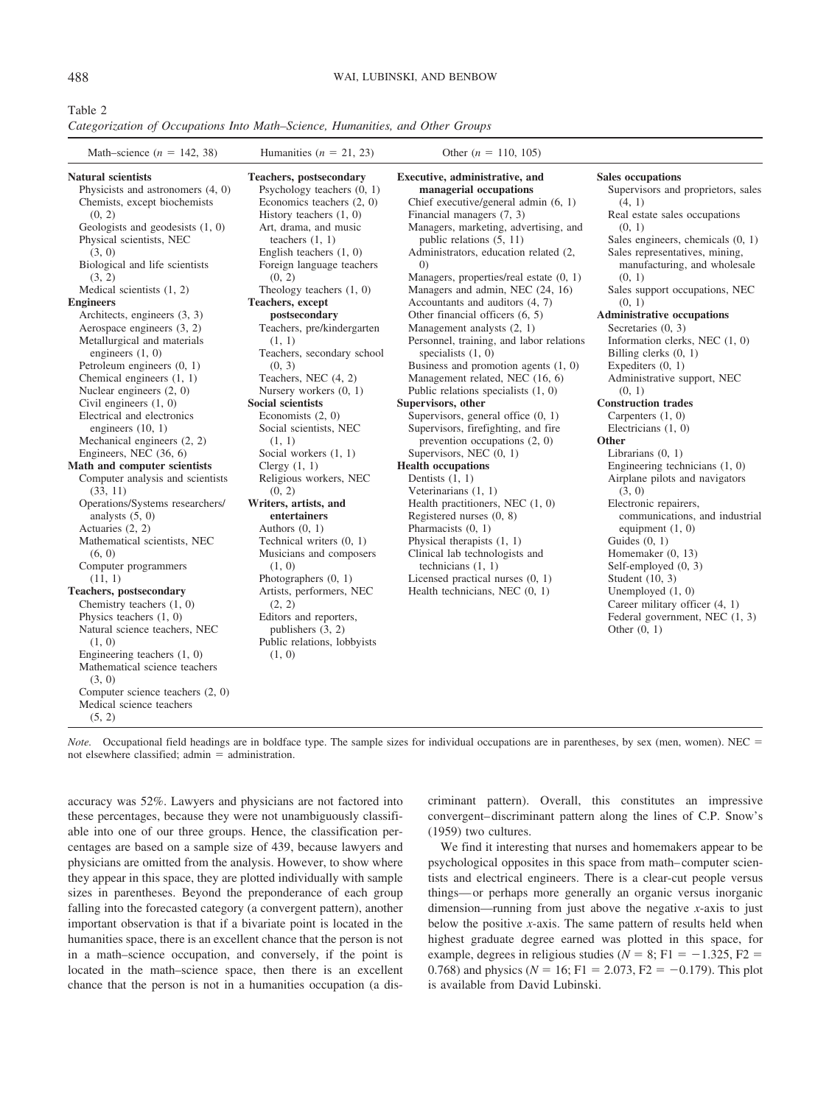Table 2

*Categorization of Occupations Into Math–Science, Humanities, and Other Groups*

| Math-science $(n = 142, 38)$                                                                                                                                                                                                                                                                                                                                                                                                                                                                                                                                                                                                                                                                                                                                                                                                                                                                                                                                                                                                                                                                                                                                                   | Humanities ( $n = 21, 23$ )                                                                                                                                                                                                                                                                                                                                                                                                                                                                                                                                                                                                                                                                                                                                                                                                                                                                                    | Other ( $n = 110, 105$ )                                                                                                                                                                                                                                                                                                                                                                                                                                                                                                                                                                                                                                                                                                                                                                                                                                                                                                                                                                                                                                                                                                                                         |                                                                                                                                                                                                                                                                                                                                                                                                                                                                                                                                                                                                                                                                                                                                                                                                                                                                                                                                                                     |
|--------------------------------------------------------------------------------------------------------------------------------------------------------------------------------------------------------------------------------------------------------------------------------------------------------------------------------------------------------------------------------------------------------------------------------------------------------------------------------------------------------------------------------------------------------------------------------------------------------------------------------------------------------------------------------------------------------------------------------------------------------------------------------------------------------------------------------------------------------------------------------------------------------------------------------------------------------------------------------------------------------------------------------------------------------------------------------------------------------------------------------------------------------------------------------|----------------------------------------------------------------------------------------------------------------------------------------------------------------------------------------------------------------------------------------------------------------------------------------------------------------------------------------------------------------------------------------------------------------------------------------------------------------------------------------------------------------------------------------------------------------------------------------------------------------------------------------------------------------------------------------------------------------------------------------------------------------------------------------------------------------------------------------------------------------------------------------------------------------|------------------------------------------------------------------------------------------------------------------------------------------------------------------------------------------------------------------------------------------------------------------------------------------------------------------------------------------------------------------------------------------------------------------------------------------------------------------------------------------------------------------------------------------------------------------------------------------------------------------------------------------------------------------------------------------------------------------------------------------------------------------------------------------------------------------------------------------------------------------------------------------------------------------------------------------------------------------------------------------------------------------------------------------------------------------------------------------------------------------------------------------------------------------|---------------------------------------------------------------------------------------------------------------------------------------------------------------------------------------------------------------------------------------------------------------------------------------------------------------------------------------------------------------------------------------------------------------------------------------------------------------------------------------------------------------------------------------------------------------------------------------------------------------------------------------------------------------------------------------------------------------------------------------------------------------------------------------------------------------------------------------------------------------------------------------------------------------------------------------------------------------------|
| Natural scientists<br>Physicists and astronomers $(4, 0)$<br>Chemists, except biochemists<br>(0, 2)<br>Geologists and geodesists $(1, 0)$<br>Physical scientists, NEC<br>(3, 0)<br>Biological and life scientists<br>(3, 2)<br>Medical scientists $(1, 2)$<br><b>Engineers</b><br>Architects, engineers (3, 3)<br>Aerospace engineers (3, 2)<br>Metallurgical and materials<br>engineers $(1, 0)$<br>Petroleum engineers $(0, 1)$<br>Chemical engineers (1, 1)<br>Nuclear engineers $(2, 0)$<br>Civil engineers $(1, 0)$<br>Electrical and electronics<br>engineers $(10, 1)$<br>Mechanical engineers (2, 2)<br>Engineers, NEC (36, 6)<br>Math and computer scientists<br>Computer analysis and scientists<br>(33, 11)<br>Operations/Systems researchers/<br>analysts $(5, 0)$<br>Actuaries (2, 2)<br>Mathematical scientists, NEC<br>(6, 0)<br>Computer programmers<br>(11, 1)<br><b>Teachers, postsecondary</b><br>Chemistry teachers $(1, 0)$<br>Physics teachers $(1, 0)$<br>Natural science teachers, NEC<br>(1, 0)<br>Engineering teachers $(1, 0)$<br>Mathematical science teachers<br>(3, 0)<br>Computer science teachers (2, 0)<br>Medical science teachers<br>(5, 2) | <b>Teachers</b> , postsecondary<br>Psychology teachers $(0, 1)$<br>Economics teachers $(2, 0)$<br>History teachers $(1, 0)$<br>Art, drama, and music<br>teachers $(1, 1)$<br>English teachers $(1, 0)$<br>Foreign language teachers<br>(0, 2)<br>Theology teachers $(1, 0)$<br>Teachers, except<br>postsecondary<br>Teachers, pre/kindergarten<br>(1, 1)<br>Teachers, secondary school<br>(0, 3)<br>Teachers, NEC (4, 2)<br>Nursery workers $(0, 1)$<br>Social scientists<br>Economists (2, 0)<br>Social scientists, NEC<br>(1, 1)<br>Social workers $(1, 1)$<br>Clergy $(1, 1)$<br>Religious workers, NEC<br>(0, 2)<br>Writers, artists, and<br>entertainers<br>Authors $(0, 1)$<br>Technical writers $(0, 1)$<br>Musicians and composers<br>(1, 0)<br>Photographers $(0, 1)$<br>Artists, performers, NEC<br>(2, 2)<br>Editors and reporters,<br>publishers $(3, 2)$<br>Public relations, lobbyists<br>(1, 0) | Executive, administrative, and<br>managerial occupations<br>Chief executive/general admin $(6, 1)$<br>Financial managers (7, 3)<br>Managers, marketing, advertising, and<br>public relations (5, 11)<br>Administrators, education related (2,<br>$\left( 0\right)$<br>Managers, properties/real estate (0, 1)<br>Managers and admin, NEC (24, 16)<br>Accountants and auditors (4, 7)<br>Other financial officers (6, 5)<br>Management analysts (2, 1)<br>Personnel, training, and labor relations<br>specialists $(1, 0)$<br>Business and promotion agents $(1, 0)$<br>Management related, NEC (16, 6)<br>Public relations specialists $(1, 0)$<br>Supervisors, other<br>Supervisors, general office $(0, 1)$<br>Supervisors, firefighting, and fire<br>prevention occupations $(2, 0)$<br>Supervisors, NEC $(0, 1)$<br><b>Health occupations</b><br>Dentists $(1, 1)$<br>Veterinarians $(1, 1)$<br>Health practitioners, NEC $(1, 0)$<br>Registered nurses $(0, 8)$<br>Pharmacists $(0, 1)$<br>Physical therapists $(1, 1)$<br>Clinical lab technologists and<br>technicians $(1, 1)$<br>Licensed practical nurses $(0, 1)$<br>Health technicians, NEC $(0, 1)$ | <b>Sales occupations</b><br>Supervisors and proprietors, sales<br>(4, 1)<br>Real estate sales occupations<br>(0, 1)<br>Sales engineers, chemicals $(0, 1)$<br>Sales representatives, mining,<br>manufacturing, and wholesale<br>(0, 1)<br>Sales support occupations, NEC<br>(0, 1)<br><b>Administrative occupations</b><br>Secretaries $(0, 3)$<br>Information clerks, NEC $(1, 0)$<br>Billing clerks $(0, 1)$<br>Expediters $(0, 1)$<br>Administrative support, NEC<br>(0, 1)<br><b>Construction trades</b><br>Carpenters $(1, 0)$<br>Electricians $(1, 0)$<br>Other<br>Librarians $(0, 1)$<br>Engineering technicians $(1, 0)$<br>Airplane pilots and navigators<br>(3, 0)<br>Electronic repairers,<br>communications, and industrial<br>equipment $(1, 0)$<br>Guides $(0, 1)$<br>Homemaker $(0, 13)$<br>Self-employed $(0, 3)$<br>Student $(10, 3)$<br>Unemployed $(1, 0)$<br>Career military officer (4, 1)<br>Federal government, NEC (1, 3)<br>Other $(0, 1)$ |

*Note.* Occupational field headings are in boldface type. The sample sizes for individual occupations are in parentheses, by sex (men, women). NEC = not elsewhere classified; admin  $=$  administration.

accuracy was 52%. Lawyers and physicians are not factored into these percentages, because they were not unambiguously classifiable into one of our three groups. Hence, the classification percentages are based on a sample size of 439, because lawyers and physicians are omitted from the analysis. However, to show where they appear in this space, they are plotted individually with sample sizes in parentheses. Beyond the preponderance of each group falling into the forecasted category (a convergent pattern), another important observation is that if a bivariate point is located in the humanities space, there is an excellent chance that the person is not in a math–science occupation, and conversely, if the point is located in the math–science space, then there is an excellent chance that the person is not in a humanities occupation (a discriminant pattern). Overall, this constitutes an impressive convergent– discriminant pattern along the lines of C.P. Snow's (1959) two cultures.

We find it interesting that nurses and homemakers appear to be psychological opposites in this space from math– computer scientists and electrical engineers. There is a clear-cut people versus things— or perhaps more generally an organic versus inorganic dimension—running from just above the negative *x*-axis to just below the positive *x*-axis. The same pattern of results held when highest graduate degree earned was plotted in this space, for example, degrees in religious studies ( $N = 8$ ; F1 = -1.325, F2 = 0.768) and physics ( $N = 16$ ; F1 = 2.073, F2 = -0.179). This plot is available from David Lubinski.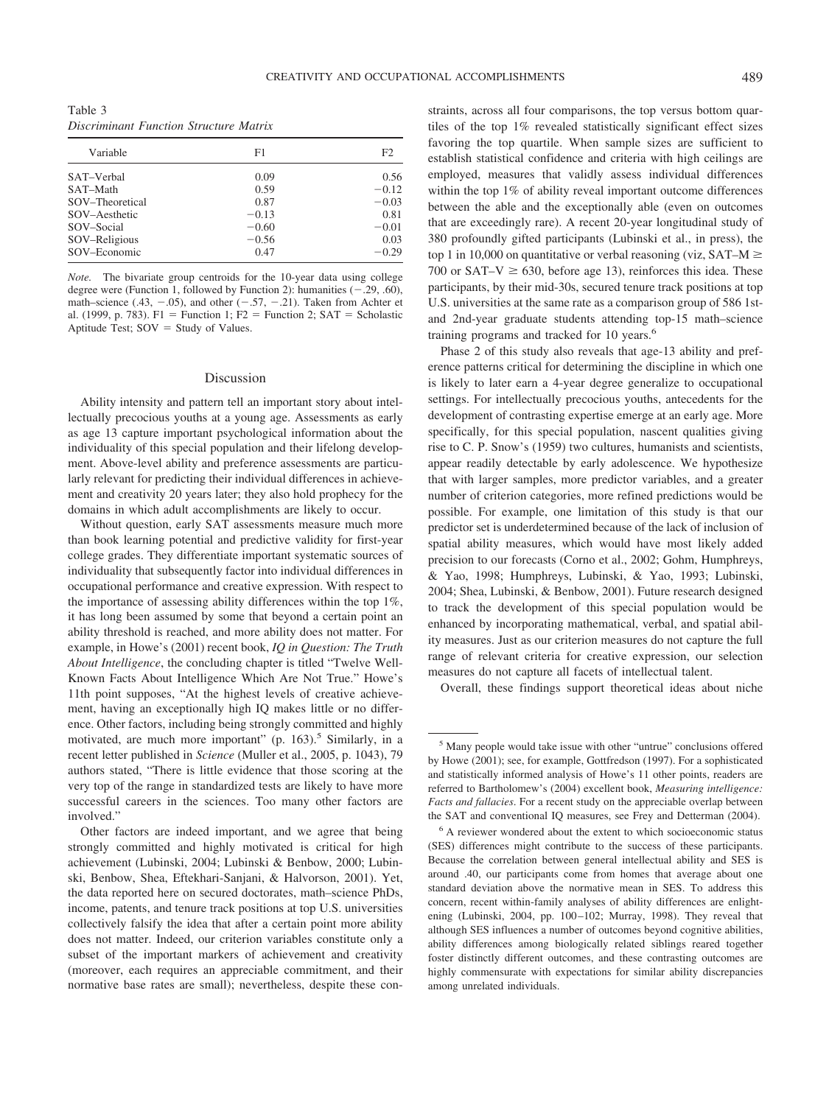Table 3 *Discriminant Function Structure Matrix*

| Variable        | F1      | F <sub>2</sub> |
|-----------------|---------|----------------|
|                 |         |                |
| SAT-Verbal      | 0.09    | 0.56           |
| SAT-Math        | 0.59    | $-0.12$        |
| SOV-Theoretical | 0.87    | $-0.03$        |
| SOV-Aesthetic   | $-0.13$ | 0.81           |
| SOV-Social      | $-0.60$ | $-0.01$        |
| SOV-Religious   | $-0.56$ | 0.03           |
| SOV-Economic    | 0.47    | $-0.29$        |

*Note.* The bivariate group centroids for the 10-year data using college degree were (Function 1, followed by Function 2): humanities  $(-.29, .60)$ , math–science (.43,  $-.05$ ), and other ( $-.57, -.21$ ). Taken from Achter et al. (1999, p. 783). F1 = Function 1; F2 = Function 2; SAT = Scholastic Aptitude Test;  $SOV = Study of Values$ .

#### Discussion

Ability intensity and pattern tell an important story about intellectually precocious youths at a young age. Assessments as early as age 13 capture important psychological information about the individuality of this special population and their lifelong development. Above-level ability and preference assessments are particularly relevant for predicting their individual differences in achievement and creativity 20 years later; they also hold prophecy for the domains in which adult accomplishments are likely to occur.

Without question, early SAT assessments measure much more than book learning potential and predictive validity for first-year college grades. They differentiate important systematic sources of individuality that subsequently factor into individual differences in occupational performance and creative expression. With respect to the importance of assessing ability differences within the top 1%, it has long been assumed by some that beyond a certain point an ability threshold is reached, and more ability does not matter. For example, in Howe's (2001) recent book, *IQ in Question: The Truth About Intelligence*, the concluding chapter is titled "Twelve Well-Known Facts About Intelligence Which Are Not True." Howe's 11th point supposes, "At the highest levels of creative achievement, having an exceptionally high IQ makes little or no difference. Other factors, including being strongly committed and highly motivated, are much more important"  $(p. 163)$ .<sup>5</sup> Similarly, in a recent letter published in *Science* (Muller et al., 2005, p. 1043), 79 authors stated, "There is little evidence that those scoring at the very top of the range in standardized tests are likely to have more successful careers in the sciences. Too many other factors are involved."

Other factors are indeed important, and we agree that being strongly committed and highly motivated is critical for high achievement (Lubinski, 2004; Lubinski & Benbow, 2000; Lubinski, Benbow, Shea, Eftekhari-Sanjani, & Halvorson, 2001). Yet, the data reported here on secured doctorates, math–science PhDs, income, patents, and tenure track positions at top U.S. universities collectively falsify the idea that after a certain point more ability does not matter. Indeed, our criterion variables constitute only a subset of the important markers of achievement and creativity (moreover, each requires an appreciable commitment, and their normative base rates are small); nevertheless, despite these constraints, across all four comparisons, the top versus bottom quartiles of the top 1% revealed statistically significant effect sizes favoring the top quartile. When sample sizes are sufficient to establish statistical confidence and criteria with high ceilings are employed, measures that validly assess individual differences within the top 1% of ability reveal important outcome differences between the able and the exceptionally able (even on outcomes that are exceedingly rare). A recent 20-year longitudinal study of 380 profoundly gifted participants (Lubinski et al., in press), the top 1 in 10,000 on quantitative or verbal reasoning (viz,  $SAT-M \ge$ 700 or SAT–V  $\geq$  630, before age 13), reinforces this idea. These participants, by their mid-30s, secured tenure track positions at top U.S. universities at the same rate as a comparison group of 586 1stand 2nd-year graduate students attending top-15 math–science training programs and tracked for 10 years.<sup>6</sup>

Phase 2 of this study also reveals that age-13 ability and preference patterns critical for determining the discipline in which one is likely to later earn a 4-year degree generalize to occupational settings. For intellectually precocious youths, antecedents for the development of contrasting expertise emerge at an early age. More specifically, for this special population, nascent qualities giving rise to C. P. Snow's (1959) two cultures, humanists and scientists, appear readily detectable by early adolescence. We hypothesize that with larger samples, more predictor variables, and a greater number of criterion categories, more refined predictions would be possible. For example, one limitation of this study is that our predictor set is underdetermined because of the lack of inclusion of spatial ability measures, which would have most likely added precision to our forecasts (Corno et al., 2002; Gohm, Humphreys, & Yao, 1998; Humphreys, Lubinski, & Yao, 1993; Lubinski, 2004; Shea, Lubinski, & Benbow, 2001). Future research designed to track the development of this special population would be enhanced by incorporating mathematical, verbal, and spatial ability measures. Just as our criterion measures do not capture the full range of relevant criteria for creative expression, our selection measures do not capture all facets of intellectual talent.

Overall, these findings support theoretical ideas about niche

<sup>5</sup> Many people would take issue with other "untrue" conclusions offered by Howe (2001); see, for example, Gottfredson (1997). For a sophisticated and statistically informed analysis of Howe's 11 other points, readers are referred to Bartholomew's (2004) excellent book, *Measuring intelligence: Facts and fallacies*. For a recent study on the appreciable overlap between the SAT and conventional IQ measures, see Frey and Detterman (2004).

<sup>6</sup> A reviewer wondered about the extent to which socioeconomic status (SES) differences might contribute to the success of these participants. Because the correlation between general intellectual ability and SES is around .40, our participants come from homes that average about one standard deviation above the normative mean in SES. To address this concern, recent within-family analyses of ability differences are enlightening (Lubinski, 2004, pp. 100-102; Murray, 1998). They reveal that although SES influences a number of outcomes beyond cognitive abilities, ability differences among biologically related siblings reared together foster distinctly different outcomes, and these contrasting outcomes are highly commensurate with expectations for similar ability discrepancies among unrelated individuals.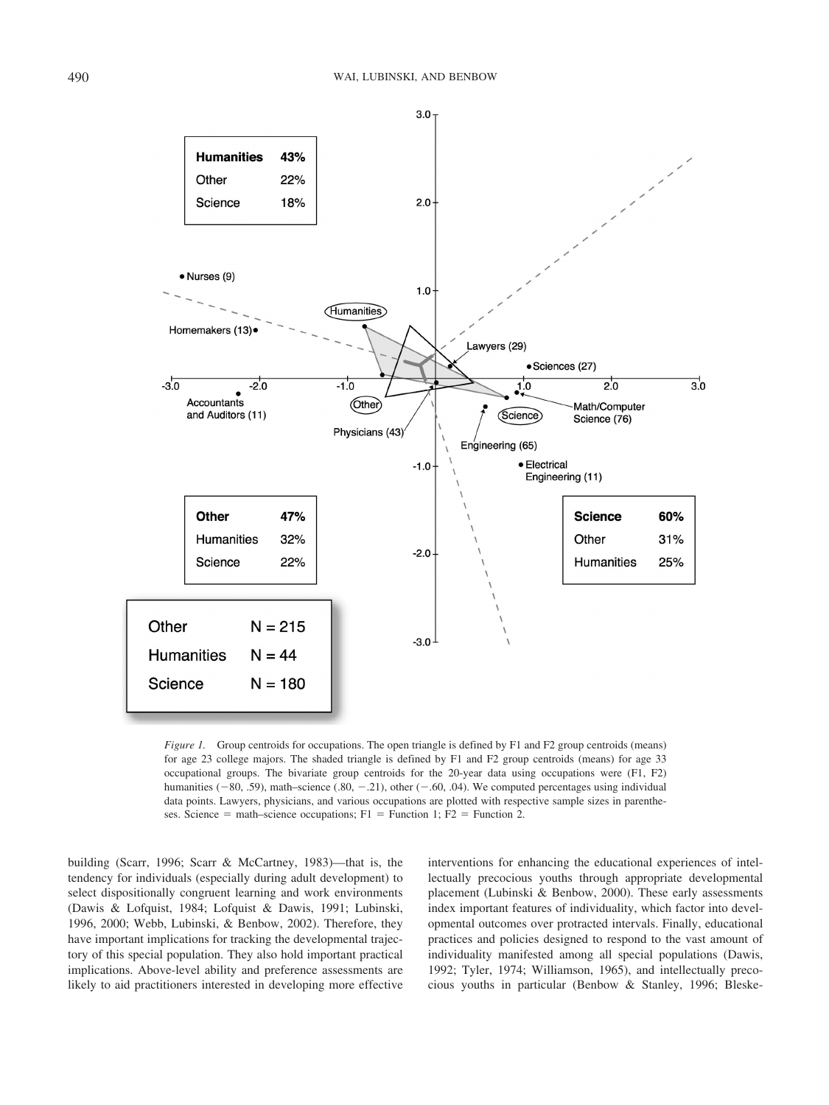

*Figure 1.* Group centroids for occupations. The open triangle is defined by F1 and F2 group centroids (means) for age 23 college majors. The shaded triangle is defined by F1 and F2 group centroids (means) for age 33 occupational groups. The bivariate group centroids for the 20-year data using occupations were (F1, F2) humanities  $(-80, .59)$ , math–science  $(.80, -.21)$ , other  $(-.60, .04)$ . We computed percentages using individual data points. Lawyers, physicians, and various occupations are plotted with respective sample sizes in parentheses. Science = math–science occupations;  $F1$  = Function 1;  $F2$  = Function 2.

building (Scarr, 1996; Scarr & McCartney, 1983)—that is, the tendency for individuals (especially during adult development) to select dispositionally congruent learning and work environments (Dawis & Lofquist, 1984; Lofquist & Dawis, 1991; Lubinski, 1996, 2000; Webb, Lubinski, & Benbow, 2002). Therefore, they have important implications for tracking the developmental trajectory of this special population. They also hold important practical implications. Above-level ability and preference assessments are likely to aid practitioners interested in developing more effective interventions for enhancing the educational experiences of intellectually precocious youths through appropriate developmental placement (Lubinski & Benbow, 2000). These early assessments index important features of individuality, which factor into developmental outcomes over protracted intervals. Finally, educational practices and policies designed to respond to the vast amount of individuality manifested among all special populations (Dawis, 1992; Tyler, 1974; Williamson, 1965), and intellectually precocious youths in particular (Benbow & Stanley, 1996; Bleske-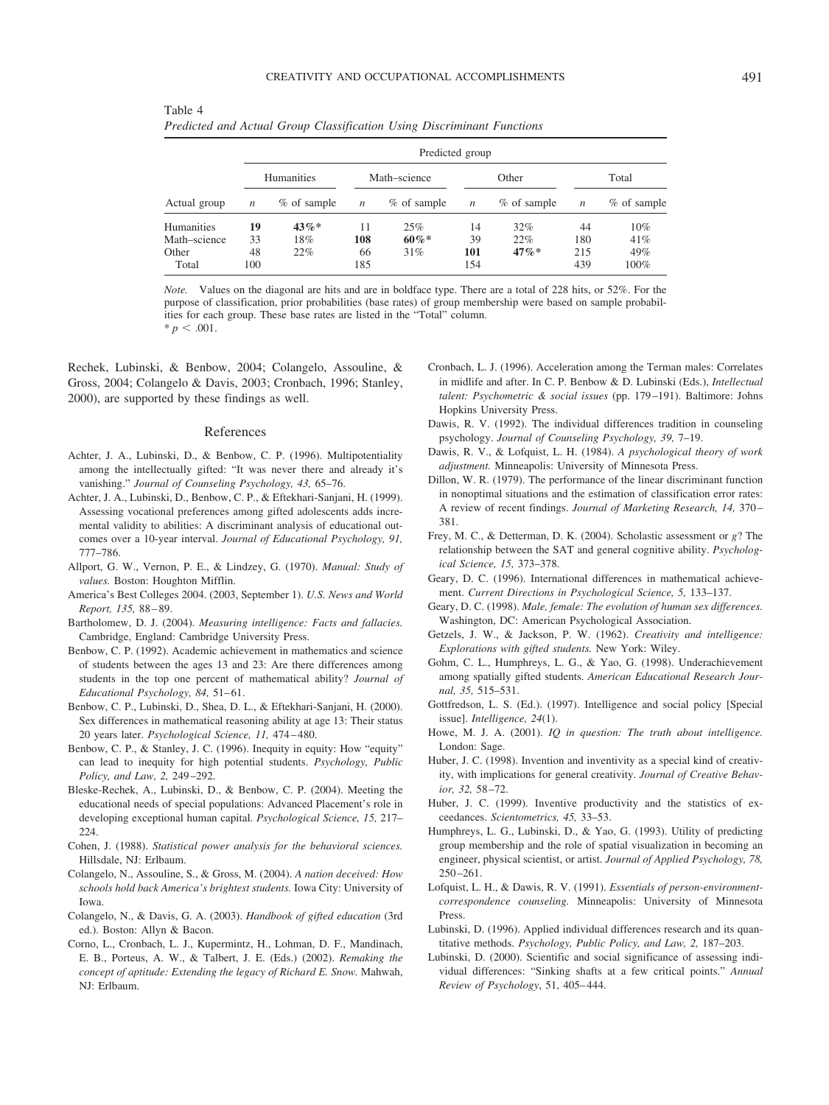| × | I<br>۰.<br>٠ |  |
|---|--------------|--|

|              |                   | Predicted group |                  |             |                  |             |                  |             |  |  |
|--------------|-------------------|-----------------|------------------|-------------|------------------|-------------|------------------|-------------|--|--|
|              | <b>Humanities</b> |                 | Math-science     |             | Other            |             | Total            |             |  |  |
| Actual group | $\boldsymbol{n}$  | % of sample     | $\boldsymbol{n}$ | % of sample | $\boldsymbol{n}$ | % of sample | $\boldsymbol{n}$ | % of sample |  |  |
| Humanities   | 19                | $43\%*$         | 11               | 25%         | 14               | 32%         | 44               | 10%         |  |  |
| Math-science | 33                | 18%             | 108              | $60\%*$     | 39               | 22%         | 180              | 41%         |  |  |
| Other        | 48                | 22%             | 66               | 31%         | 101              | $47\%*$     | 215              | 49%         |  |  |
| Total        | 100               |                 | 185              |             | 154              |             | 439              | 100%        |  |  |

Table 4 *Predicted and Actual Group Classification Using Discriminant Functions*

*Note.* Values on the diagonal are hits and are in boldface type. There are a total of 228 hits, or 52%. For the purpose of classification, prior probabilities (base rates) of group membership were based on sample probabilities for each group. These base rates are listed in the "Total" column.  $* p < .001$ .

Rechek, Lubinski, & Benbow, 2004; Colangelo, Assouline, & Gross, 2004; Colangelo & Davis, 2003; Cronbach, 1996; Stanley, 2000), are supported by these findings as well.

#### References

- Achter, J. A., Lubinski, D., & Benbow, C. P. (1996). Multipotentiality among the intellectually gifted: "It was never there and already it's vanishing." *Journal of Counseling Psychology, 43,* 65–76.
- Achter, J. A., Lubinski, D., Benbow, C. P., & Eftekhari-Sanjani, H. (1999). Assessing vocational preferences among gifted adolescents adds incremental validity to abilities: A discriminant analysis of educational outcomes over a 10-year interval. *Journal of Educational Psychology, 91,* 777–786.
- Allport, G. W., Vernon, P. E., & Lindzey, G. (1970). *Manual: Study of values.* Boston: Houghton Mifflin.
- America's Best Colleges 2004. (2003, September 1). *U.S. News and World Report, 135,* 88 – 89.
- Bartholomew, D. J. (2004). *Measuring intelligence: Facts and fallacies.* Cambridge, England: Cambridge University Press.
- Benbow, C. P. (1992). Academic achievement in mathematics and science of students between the ages 13 and 23: Are there differences among students in the top one percent of mathematical ability? *Journal of* Educational Psychology, 84, 51-61.
- Benbow, C. P., Lubinski, D., Shea, D. L., & Eftekhari-Sanjani, H. (2000). Sex differences in mathematical reasoning ability at age 13: Their status 20 years later. *Psychological Science, 11,* 474 – 480.
- Benbow, C. P., & Stanley, J. C. (1996). Inequity in equity: How "equity" can lead to inequity for high potential students. *Psychology, Public Policy, and Law, 2,* 249 –292.
- Bleske-Rechek, A., Lubinski, D., & Benbow, C. P. (2004). Meeting the educational needs of special populations: Advanced Placement's role in developing exceptional human capital. *Psychological Science, 15,* 217– 224.
- Cohen, J. (1988). *Statistical power analysis for the behavioral sciences.* Hillsdale, NJ: Erlbaum.
- Colangelo, N., Assouline, S., & Gross, M. (2004). *A nation deceived: How schools hold back America's brightest students.* Iowa City: University of Iowa.
- Colangelo, N., & Davis, G. A. (2003). *Handbook of gifted education* (3rd ed.). Boston: Allyn & Bacon.
- Corno, L., Cronbach, L. J., Kupermintz, H., Lohman, D. F., Mandinach, E. B., Porteus, A. W., & Talbert, J. E. (Eds.) (2002). *Remaking the concept of aptitude: Extending the legacy of Richard E. Snow.* Mahwah, NJ: Erlbaum.
- Cronbach, L. J. (1996). Acceleration among the Terman males: Correlates in midlife and after. In C. P. Benbow & D. Lubinski (Eds.), *Intellectual talent: Psychometric & social issues* (pp. 179 –191). Baltimore: Johns Hopkins University Press.
- Dawis, R. V. (1992). The individual differences tradition in counseling psychology. *Journal of Counseling Psychology, 39,* 7–19.
- Dawis, R. V., & Lofquist, L. H. (1984). *A psychological theory of work adjustment.* Minneapolis: University of Minnesota Press.
- Dillon, W. R. (1979). The performance of the linear discriminant function in nonoptimal situations and the estimation of classification error rates: A review of recent findings. *Journal of Marketing Research, 14,* 370 – 381.
- Frey, M. C., & Detterman, D. K. (2004). Scholastic assessment or *g*? The relationship between the SAT and general cognitive ability. *Psychological Science, 15,* 373–378.
- Geary, D. C. (1996). International differences in mathematical achievement. *Current Directions in Psychological Science, 5,* 133–137.
- Geary, D. C. (1998). *Male, female: The evolution of human sex differences.* Washington, DC: American Psychological Association.
- Getzels, J. W., & Jackson, P. W. (1962). *Creativity and intelligence: Explorations with gifted students.* New York: Wiley.
- Gohm, C. L., Humphreys, L. G., & Yao, G. (1998). Underachievement among spatially gifted students. *American Educational Research Journal, 35,* 515–531.
- Gottfredson, L. S. (Ed.). (1997). Intelligence and social policy [Special issue]. *Intelligence, 24*(1).
- Howe, M. J. A. (2001). *IQ in question: The truth about intelligence.* London: Sage.
- Huber, J. C. (1998). Invention and inventivity as a special kind of creativity, with implications for general creativity. *Journal of Creative Behavior, 32,* 58 –72.
- Huber, J. C. (1999). Inventive productivity and the statistics of exceedances. *Scientometrics, 45,* 33–53.
- Humphreys, L. G., Lubinski, D., & Yao, G. (1993). Utility of predicting group membership and the role of spatial visualization in becoming an engineer, physical scientist, or artist. *Journal of Applied Psychology, 78,*  $250 - 261$ .
- Lofquist, L. H., & Dawis, R. V. (1991). *Essentials of person-environmentcorrespondence counseling.* Minneapolis: University of Minnesota Press.
- Lubinski, D. (1996). Applied individual differences research and its quantitative methods. *Psychology, Public Policy, and Law, 2,* 187–203.
- Lubinski, D. (2000). Scientific and social significance of assessing individual differences: "Sinking shafts at a few critical points." *Annual Review of Psychology*, 51, 405– 444.